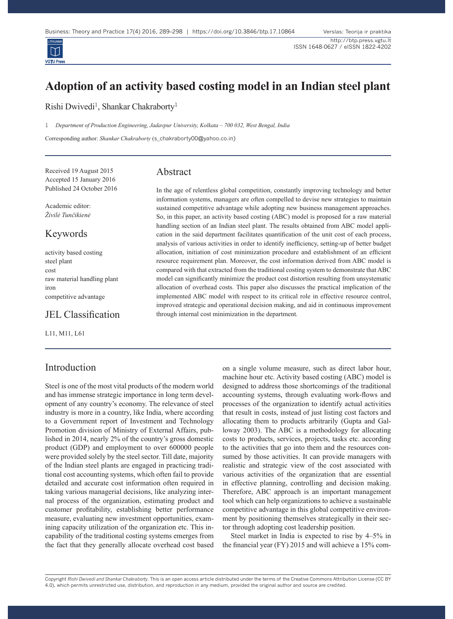

# **Adoption of an activity based costing model in an Indian steel plant**

Rishi Dwivedi<sup>1</sup>, Shankar Chakraborty<sup>1</sup>

1 *Department of Production Engineering, Jadavpur University, Kolkata – 700 032, West Bengal, India*

Corresponding author: *Shankar Chakraborty* (s\_chakraborty00@yahoo.co.in)

Received 19 August 2015 Accepted 15 January 2016 Published 24 October 2016

Academic editor: *Živilė Tunčikienė*

## Keywords

activity based costing steel plant cost raw material handling plant iron competitive advantage

## JEL Classification

L11, M11, L61

## Introduction

Steel is one of the most vital products of the modern world and has immense strategic importance in long term development of any country's economy. The relevance of steel industry is more in a country, like India, where according to a Government report of Investment and Technology Promotion division of Ministry of External Affairs, published in 2014, nearly 2% of the country's gross domestic product (GDP) and employment to over 600000 people were provided solely by the steel sector. Till date, majority of the Indian steel plants are engaged in practicing traditional cost accounting systems, which often fail to provide detailed and accurate cost information often required in taking various managerial decisions, like analyzing internal process of the organization, estimating product and customer profitability, establishing better performance measure, evaluating new investment opportunities, examining capacity utilization of the organization etc. This incapability of the traditional costing systems emerges from the fact that they generally allocate overhead cost based

## Abstract

In the age of relentless global competition, constantly improving technology and better information systems, managers are often compelled to devise new strategies to maintain sustained competitive advantage while adopting new business management approaches. So, in this paper, an activity based costing (ABC) model is proposed for a raw material handling section of an Indian steel plant. The results obtained from ABC model application in the said department facilitates quantification of the unit cost of each process, analysis of various activities in order to identify inefficiency, setting-up of better budget allocation, initiation of cost minimization procedure and establishment of an efficient resource requirement plan. Moreover, the cost information derived from ABC model is compared with that extracted from the traditional costing system to demonstrate that ABC model can significantly minimize the product cost distortion resulting from unsystematic allocation of overhead costs. This paper also discusses the practical implication of the implemented ABC model with respect to its critical role in effective resource control, improved strategic and operational decision making, and aid in continuous improvement through internal cost minimization in the department.

> on a single volume measure, such as direct labor hour, machine hour etc. Activity based costing (ABC) model is designed to address those shortcomings of the traditional accounting systems, through evaluating work-flows and processes of the organization to identify actual activities that result in costs, instead of just listing cost factors and allocating them to products arbitrarily (Gupta and Galloway 2003). The ABC is a methodology for allocating costs to products, services, projects, tasks etc. according to the activities that go into them and the resources consumed by those activities. It can provide managers with realistic and strategic view of the cost associated with various activities of the organization that are essential in effective planning, controlling and decision making. Therefore, ABC approach is an important management tool which can help organizations to achieve a sustainable competitive advantage in this global competitive environment by positioning themselves strategically in their sector through adopting cost leadership position.

> Steel market in India is expected to rise by 4–5% in the financial year (FY) 2015 and will achieve a 15% com-

Copyright *Rishi Dwivedi and Shankar Chakraborty.* This is an open access article distributed under the terms of the Creative Commons Attribution License (CC BY 4.0), which permits unrestricted use, distribution, and reproduction in any medium, provided the original author and source are credited.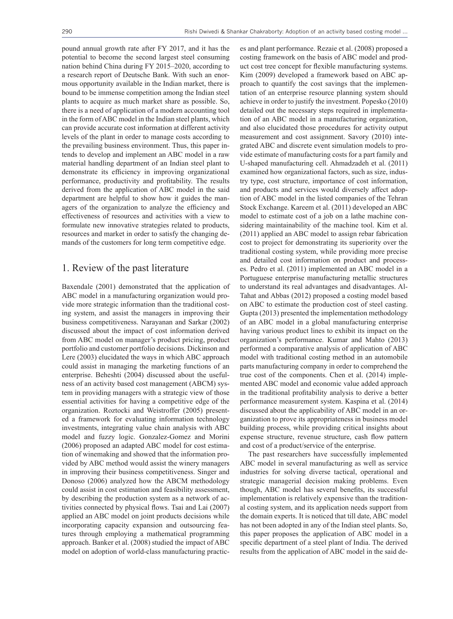pound annual growth rate after FY 2017, and it has the potential to become the second largest steel consuming nation behind China during FY 2015–2020, according to a research report of Deutsche Bank. With such an enormous opportunity available in the Indian market, there is bound to be immense competition among the Indian steel plants to acquire as much market share as possible. So, there is a need of application of a modern accounting tool in the form of ABC model in the Indian steel plants, which can provide accurate cost information at different activity levels of the plant in order to manage costs according to the prevailing business environment. Thus, this paper intends to develop and implement an ABC model in a raw material handling department of an Indian steel plant to demonstrate its efficiency in improving organizational performance, productivity and profitability. The results derived from the application of ABC model in the said department are helpful to show how it guides the managers of the organization to analyze the efficiency and effectiveness of resources and activities with a view to formulate new innovative strategies related to products, resources and market in order to satisfy the changing demands of the customers for long term competitive edge.

## 1. Review of the past literature

Baxendale (2001) demonstrated that the application of ABC model in a manufacturing organization would provide more strategic information than the traditional costing system, and assist the managers in improving their business competitiveness. Narayanan and Sarkar (2002) discussed about the impact of cost information derived from ABC model on manager's product pricing, product portfolio and customer portfolio decisions. Dickinson and Lere (2003) elucidated the ways in which ABC approach could assist in managing the marketing functions of an enterprise. Beheshti (2004) discussed about the usefulness of an activity based cost management (ABCM) system in providing managers with a strategic view of those essential activities for having a competitive edge of the organization. Roztocki and Weistroffer (2005) presented a framework for evaluating information technology investments, integrating value chain analysis with ABC model and fuzzy logic. Gonzalez-Gomez and Morini (2006) proposed an adapted ABC model for cost estimation of winemaking and showed that the information provided by ABC method would assist the winery managers in improving their business competitiveness. Singer and Donoso (2006) analyzed how the ABCM methodology could assist in cost estimation and feasibility assessment, by describing the production system as a network of activities connected by physical flows. Tsai and Lai (2007) applied an ABC model on joint products decisions while incorporating capacity expansion and outsourcing features through employing a mathematical programming approach. Banker et al. (2008) studied the impact of ABC model on adoption of world-class manufacturing practices and plant performance. Rezaie et al. (2008) proposed a costing framework on the basis of ABC model and product cost tree concept for flexible manufacturing systems. Kim (2009) developed a framework based on ABC approach to quantify the cost savings that the implementation of an enterprise resource planning system should achieve in order to justify the investment. Popesko (2010) detailed out the necessary steps required in implementation of an ABC model in a manufacturing organization, and also elucidated those procedures for activity output measurement and cost assignment. Savory (2010) integrated ABC and discrete event simulation models to provide estimate of manufacturing costs for a part family and U-shaped manufacturing cell. Ahmadzadeh et al. (2011) examined how organizational factors, such as size, industry type, cost structure, importance of cost information, and products and services would diversely affect adoption of ABC model in the listed companies of the Tehran Stock Exchange. Kareem et al. (2011) developed an ABC model to estimate cost of a job on a lathe machine considering maintainability of the machine tool. Kim et al. (2011) applied an ABC model to assign rebar fabrication cost to project for demonstrating its superiority over the traditional costing system, while providing more precise and detailed cost information on product and processes. Pedro et al. (2011) implemented an ABC model in a Portuguese enterprise manufacturing metallic structures to understand its real advantages and disadvantages. Al-Tahat and Abbas (2012) proposed a costing model based on ABC to estimate the production cost of steel casting. Gupta (2013) presented the implementation methodology of an ABC model in a global manufacturing enterprise having various product lines to exhibit its impact on the organization's performance. Kumar and Mahto (2013) performed a comparative analysis of application of ABC model with traditional costing method in an automobile parts manufacturing company in order to comprehend the true cost of the components. Chen et al. (2014) implemented ABC model and economic value added approach in the traditional profitability analysis to derive a better performance measurement system. Kaspina et al. (2014) discussed about the applicability of ABC model in an organization to prove its appropriateness in business model building process, while providing critical insights about expense structure, revenue structure, cash flow pattern and cost of a product/service of the enterprise.

The past researchers have successfully implemented ABC model in several manufacturing as well as service industries for solving diverse tactical, operational and strategic managerial decision making problems. Even though, ABC model has several benefits, its successful implementation is relatively expensive than the traditional costing system, and its application needs support from the domain experts. It is noticed that till date, ABC model has not been adopted in any of the Indian steel plants. So, this paper proposes the application of ABC model in a specific department of a steel plant of India. The derived results from the application of ABC model in the said de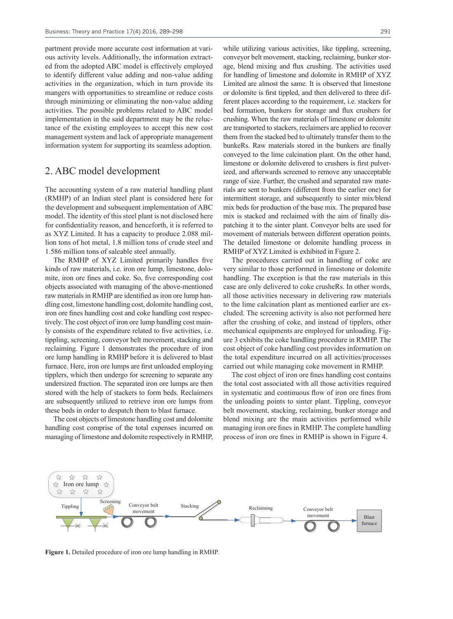partment provide more accurate cost information at various activity levels. Additionally, the information extracted from the adopted ABC model is effectively employed to identify different value adding and non-value adding activities in the organization, which in turn provide its mangers with opportunities to streamline or reduce costs through minimizing or eliminating the non-value adding activities. The possible problems related to ABC model implementation in the said department may be the reluctance of the existing employees to accept this new cost management system and lack of appropriate management information system for supporting its seamless adoption.

#### 2. ABC model development

The accounting system of a raw material handling plant (RMHP) of an Indian steel plant is considered here for the development and subsequent implementation of ABC model. The identity of this steel plant is not disclosed here for confidentiality reason, and henceforth, it is referred to as XYZ Limited. It has a capacity to produce 2.088 million tons of hot metal, 1.8 million tons of crude steel and 1.586 million tons of saleable steel annually.

The RMHP of XYZ Limited primarily handles five kinds of raw materials, i.e. iron ore lump, limestone, dolomite, iron ore fines and coke. So, five corresponding cost objects associated with managing of the above-mentioned raw materials in RMHP are identified as iron ore lump handling cost, limestone handling cost, dolomite handling cost, iron ore fines handling cost and coke handling cost respectively. The cost object of iron ore lump handling cost mainly consists of the expenditure related to five activities, i.e. tippling, screening, conveyor belt movement, stacking and reclaiming. Figure 1 demonstrates the procedure of iron ore lump handling in RMHP before it is delivered to blast furnace. Here, iron ore lumps are first unloaded employing tipplers, which then undergo for screening to separate any undersized fraction. The separated iron ore lumps are then stored with the help of stackers to form beds. Reclaimers are subsequently utilized to retrieve iron ore lumps from these beds in order to despatch them to blast furnace.

The cost objects of limestone handling cost and dolomite handling cost comprise of the total expenses incurred on managing of limestone and dolomite respectively in RMHP,

while utilizing various activities, like tippling, screening, conveyor belt movement, stacking, reclaiming, bunker storage, blend mixing and flux crushing. The activities used for handling of limestone and dolomite in RMHP of XYZ Limited are almost the same. It is observed that limestone or dolomite is first tippled, and then delivered to three different places according to the requirement, i.e. stackers for bed formation, bunkers for storage and flux crushers for crushing. When the raw materials of limestone or dolomite are transported to stackers, reclaimers are applied to recover them from the stacked bed to ultimately transfer them to the bunkeRs. Raw materials stored in the bunkers are finally conveyed to the lime calcination plant. On the other hand, limestone or dolomite delivered to crushers is first pulverized, and afterwards screened to remove any unacceptable range of size. Further, the crushed and separated raw materials are sent to bunkers (different from the earlier one) for intermittent storage, and subsequently to sinter mix/blend mix beds for production of the base mix. The prepared base mix is stacked and reclaimed with the aim of finally dispatching it to the sinter plant. Conveyor belts are used for movement of materials between different operation points. The detailed limestone or dolomite handling process in RMHP of XYZ Limited is exhibited in Figure 2.

The procedures carried out in handling of coke are very similar to those performed in limestone or dolomite handling. The exception is that the raw materials in this case are only delivered to coke crusheRs. In other words, all those activities necessary in delivering raw materials to the lime calcination plant as mentioned earlier are excluded. The screening activity is also not performed here after the crushing of coke, and instead of tipplers, other mechanical equipments are employed for unloading. Figure 3 exhibits the coke handling procedure in RMHP. The cost object of coke handling cost provides information on the total expenditure incurred on all activities/processes carried out while managing coke movement in RMHP.

The cost object of iron ore fines handling cost contains the total cost associated with all those activities required in systematic and continuous flow of iron ore fines from the unloading points to sinter plant. Tippling, conveyor belt movement, stacking, reclaiming, bunker storage and blend mixing are the main activities performed while managing iron ore fines in RMHP. The complete handling process of iron ore fines in RMHP is shown in Figure 4.



**Figure 1.** Detailed procedure of iron ore lump handling in RMHP.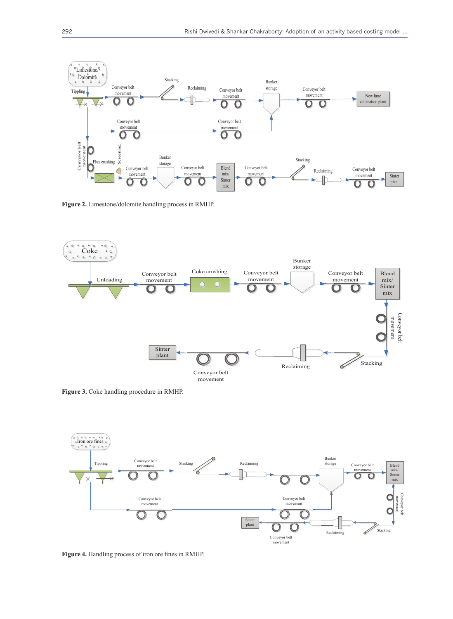

**Figure 2.** Limestone/dolomite handling process in RMHP.



**Figure 3.** Coke handling procedure in RMHP.



**Figure 4.** Handling process of iron ore fines in RMHP.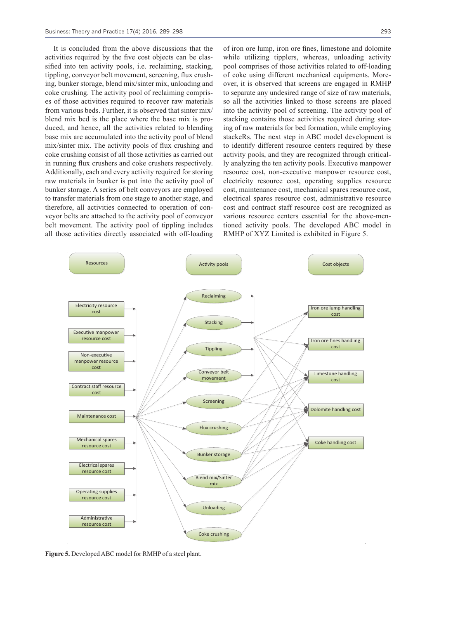It is concluded from the above discussions that the activities required by the five cost objects can be classified into ten activity pools, i.e. reclaiming, stacking, tippling, conveyor belt movement, screening, flux crushing, bunker storage, blend mix/sinter mix, unloading and coke crushing. The activity pool of reclaiming comprises of those activities required to recover raw materials from various beds. Further, it is observed that sinter mix/ blend mix bed is the place where the base mix is produced, and hence, all the activities related to blending base mix are accumulated into the activity pool of blend mix/sinter mix. The activity pools of flux crushing and coke crushing consist of all those activities as carried out in running flux crushers and coke crushers respectively. Additionally, each and every activity required for storing raw materials in bunker is put into the activity pool of bunker storage. A series of belt conveyors are employed to transfer materials from one stage to another stage, and therefore, all activities connected to operation of conveyor belts are attached to the activity pool of conveyor belt movement. The activity pool of tippling includes all those activities directly associated with off-loading of iron ore lump, iron ore fines, limestone and dolomite while utilizing tipplers, whereas, unloading activity pool comprises of those activities related to off-loading of coke using different mechanical equipments. Moreover, it is observed that screens are engaged in RMHP to separate any undesired range of size of raw materials, so all the activities linked to those screens are placed into the activity pool of screening. The activity pool of stacking contains those activities required during storing of raw materials for bed formation, while employing stackeRs. The next step in ABC model development is to identify different resource centers required by these activity pools, and they are recognized through critically analyzing the ten activity pools. Executive manpower resource cost, non-executive manpower resource cost, electricity resource cost, operating supplies resource cost, maintenance cost, mechanical spares resource cost, electrical spares resource cost, administrative resource cost and contract staff resource cost are recognized as various resource centers essential for the above-mentioned activity pools. The developed ABC model in RMHP of XYZ Limited is exhibited in Figure 5.



**Figure 5.** Developed ABC model for RMHP of a steel plant.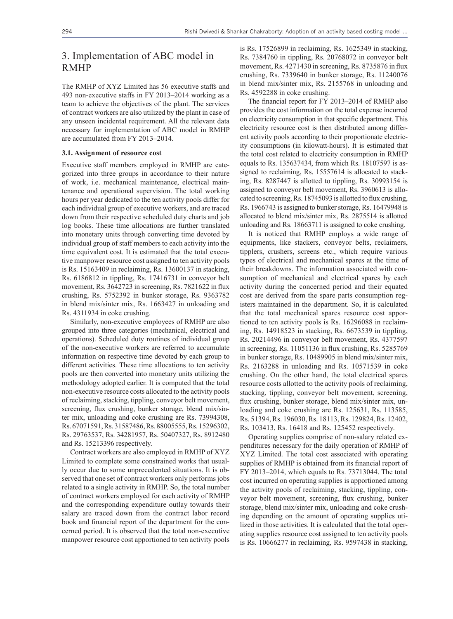## 3. Implementation of ABC model in RMHP

The RMHP of XYZ Limited has 56 executive staffs and 493 non-executive staffs in FY 2013–2014 working as a team to achieve the objectives of the plant. The services of contract workers are also utilized by the plant in case of any unseen incidental requirement. All the relevant data necessary for implementation of ABC model in RMHP are accumulated from FY 2013–2014.

#### **3.1. Assignment of resource cost**

Executive staff members employed in RMHP are categorized into three groups in accordance to their nature of work, i.e. mechanical maintenance, electrical maintenance and operational supervision. The total working hours per year dedicated to the ten activity pools differ for each individual group of executive workers, and are traced down from their respective scheduled duty charts and job log books. These time allocations are further translated into monetary units through converting time devoted by individual group of staff members to each activity into the time equivalent cost. It is estimated that the total executive manpower resource cost assigned to ten activity pools is Rs. 15163409 in reclaiming, Rs. 13600137 in stacking, Rs. 6186812 in tippling, Rs. 17416731 in conveyor belt movement, Rs. 3642723 in screening, Rs. 7821622 in flux crushing, Rs. 5752392 in bunker storage, Rs. 9363782 in blend mix/sinter mix, Rs. 1663427 in unloading and Rs. 4311934 in coke crushing.

Similarly, non-executive employees of RMHP are also grouped into three categories (mechanical, electrical and operations). Scheduled duty routines of individual group of the non-executive workers are referred to accumulate information on respective time devoted by each group to different activities. These time allocations to ten activity pools are then converted into monetary units utilizing the methodology adopted earlier. It is computed that the total non-executive resource costs allocated to the activity pools of reclaiming, stacking, tippling, conveyor belt movement, screening, flux crushing, bunker storage, blend mix/sinter mix, unloading and coke crushing are Rs. 73994308, Rs.67071591, Rs. 31587486, Rs. 88005555, Rs. 15296302, Rs. 29763537, Rs. 34281957, Rs. 50407327, Rs. 8912480 and Rs. 15213396 respectively.

Contract workers are also employed in RMHP of XYZ Limited to complete some constrained works that usually occur due to some unprecedented situations. It is observed that one set of contract workers only performs jobs related to a single activity in RMHP. So, the total number of contract workers employed for each activity of RMHP and the corresponding expenditure outlay towards their salary are traced down from the contract labor record book and financial report of the department for the concerned period. It is observed that the total non-executive manpower resource cost apportioned to ten activity pools

is Rs. 17526899 in reclaiming, Rs. 1625349 in stacking, Rs. 7384760 in tippling, Rs. 20768072 in conveyor belt movement, Rs. 4271430 in screening, Rs. 8735876 in flux crushing, Rs. 7339640 in bunker storage, Rs. 11240076 in blend mix/sinter mix, Rs. 2155768 in unloading and Rs. 4592288 in coke crushing.

The financial report for FY 2013–2014 of RMHP also provides the cost information on the total expense incurred on electricity consumption in that specific department. This electricity resource cost is then distributed among different activity pools according to their proportionate electricity consumptions (in kilowatt-hours). It is estimated that the total cost related to electricity consumption in RMHP equals to Rs. 135637434, from which Rs. 18107597 is assigned to reclaiming, Rs. 15557614 is allocated to stacking, Rs. 8287447 is allotted to tippling, Rs. 30993154 is assigned to conveyor belt movement, Rs. 3960613 is allocated to screening, Rs. 18745093 is allotted to flux crushing, Rs. 1966743 is assigned to bunker storage, Rs. 16479948 is allocated to blend mix/sinter mix, Rs. 2875514 is allotted unloading and Rs. 18663711 is assigned to coke crushing.

It is noticed that RMHP employs a wide range of equipments, like stackers, conveyor belts, reclaimers, tipplers, crushers, screens etc., which require various types of electrical and mechanical spares at the time of their breakdowns. The information associated with consumption of mechanical and electrical spares by each activity during the concerned period and their equated cost are derived from the spare parts consumption registers maintained in the department. So, it is calculated that the total mechanical spares resource cost apportioned to ten activity pools is Rs. 16296088 in reclaiming, Rs. 14918523 in stacking, Rs. 6673539 in tippling, Rs. 20214496 in conveyor belt movement, Rs. 4377597 in screening, Rs. 11051136 in flux crushing, Rs. 5285769 in bunker storage, Rs. 10489905 in blend mix/sinter mix, Rs. 2163288 in unloading and Rs. 10571539 in coke crushing. On the other hand, the total electrical spares resource costs allotted to the activity pools of reclaiming, stacking, tippling, conveyor belt movement, screening, flux crushing, bunker storage, blend mix/sinter mix, unloading and coke crushing are Rs. 125631, Rs. 113585, Rs. 51394, Rs. 196030, Rs. 18113, Rs. 129824, Rs. 12402, Rs. 103413, Rs. 16418 and Rs. 125452 respectively.

Operating supplies comprise of non-salary related expenditures necessary for the daily operation of RMHP of XYZ Limited. The total cost associated with operating supplies of RMHP is obtained from its financial report of FY 2013–2014, which equals to Rs. 73713044. The total cost incurred on operating supplies is apportioned among the activity pools of reclaiming, stacking, tippling, conveyor belt movement, screening, flux crushing, bunker storage, blend mix/sinter mix, unloading and coke crushing depending on the amount of operating supplies utilized in those activities. It is calculated that the total operating supplies resource cost assigned to ten activity pools is Rs. 10666277 in reclaiming, Rs. 9597438 in stacking,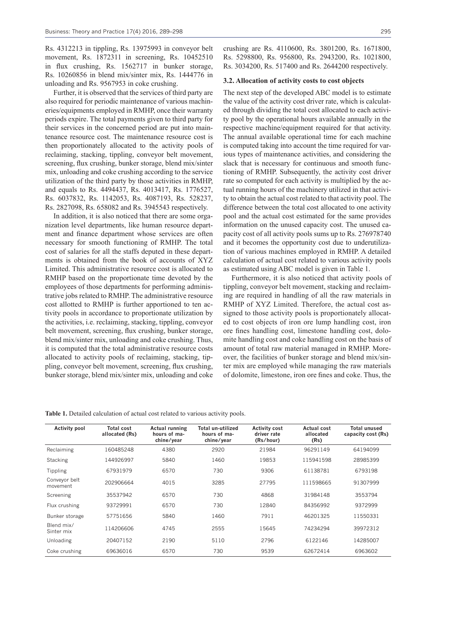Rs. 4312213 in tippling, Rs. 13975993 in conveyor belt movement, Rs. 1872311 in screening, Rs. 10452510 in flux crushing, Rs. 1562717 in bunker storage, Rs. 10260856 in blend mix/sinter mix, Rs. 1444776 in unloading and Rs. 9567953 in coke crushing.

Further, it is observed that the services of third party are also required for periodic maintenance of various machineries/equipments employed in RMHP, once their warranty periods expire. The total payments given to third party for their services in the concerned period are put into maintenance resource cost. The maintenance resource cost is then proportionately allocated to the activity pools of reclaiming, stacking, tippling, conveyor belt movement, screening, flux crushing, bunker storage, blend mix/sinter mix, unloading and coke crushing according to the service utilization of the third party by those activities in RMHP, and equals to Rs. 4494437, Rs. 4013417, Rs. 1776527, Rs. 6037832, Rs. 1142053, Rs. 4087193, Rs. 528237, Rs. 2827098, Rs. 658082 and Rs. 3945543 respectively.

In addition, it is also noticed that there are some organization level departments, like human resource department and finance department whose services are often necessary for smooth functioning of RMHP. The total cost of salaries for all the staffs deputed in these departments is obtained from the book of accounts of XYZ Limited. This administrative resource cost is allocated to RMHP based on the proportionate time devoted by the employees of those departments for performing administrative jobs related to RMHP. The administrative resource cost allotted to RMHP is further apportioned to ten activity pools in accordance to proportionate utilization by the activities, i.e. reclaiming, stacking, tippling, conveyor belt movement, screening, flux crushing, bunker storage, blend mix/sinter mix, unloading and coke crushing. Thus, it is computed that the total administrative resource costs allocated to activity pools of reclaiming, stacking, tippling, conveyor belt movement, screening, flux crushing, bunker storage, blend mix/sinter mix, unloading and coke

crushing are Rs. 4110600, Rs. 3801200, Rs. 1671800, Rs. 5298800, Rs. 956800, Rs. 2943200, Rs. 1021800,

#### **3.2. Allocation of activity costs to cost objects**

Rs. 3034200, Rs. 517400 and Rs. 2644200 respectively.

The next step of the developed ABC model is to estimate the value of the activity cost driver rate, which is calculated through dividing the total cost allocated to each activity pool by the operational hours available annually in the respective machine/equipment required for that activity. The annual available operational time for each machine is computed taking into account the time required for various types of maintenance activities, and considering the slack that is necessary for continuous and smooth functioning of RMHP. Subsequently, the activity cost driver rate so computed for each activity is multiplied by the actual running hours of the machinery utilized in that activity to obtain the actual cost related to that activity pool. The difference between the total cost allocated to one activity pool and the actual cost estimated for the same provides information on the unused capacity cost. The unused capacity cost of all activity pools sums up to Rs. 276978740 and it becomes the opportunity cost due to underutilization of various machines employed in RMHP. A detailed calculation of actual cost related to various activity pools as estimated using ABC model is given in Table 1.

Furthermore, it is also noticed that activity pools of tippling, conveyor belt movement, stacking and reclaiming are required in handling of all the raw materials in RMHP of XYZ Limited. Therefore, the actual cost assigned to those activity pools is proportionately allocated to cost objects of iron ore lump handling cost, iron ore fines handling cost, limestone handling cost, dolomite handling cost and coke handling cost on the basis of amount of total raw material managed in RMHP. Moreover, the facilities of bunker storage and blend mix/sinter mix are employed while managing the raw materials of dolomite, limestone, iron ore fines and coke. Thus, the

| Table 1. Detailed calculation of actual cost related to various activity pools. |  |  |  |
|---------------------------------------------------------------------------------|--|--|--|
|                                                                                 |  |  |  |

| <b>Activity pool</b>      | <b>Total cost</b><br>allocated (Rs) | <b>Actual running</b><br>hours of ma-<br>chine/year | Total un-utilized<br>hours of ma-<br>chine/year | <b>Activity cost</b><br>driver rate<br>(Rs/hour) | Actual cost<br>allocated<br>(Rs) | <b>Total unused</b><br>capacity cost (Rs) |
|---------------------------|-------------------------------------|-----------------------------------------------------|-------------------------------------------------|--------------------------------------------------|----------------------------------|-------------------------------------------|
| Reclaiming                | 160485248                           | 4380                                                | 2920                                            | 21984                                            | 96291149                         | 64194099                                  |
| Stacking                  | 144926997                           | 5840                                                | 1460                                            | 19853                                            | 115941598                        | 28985399                                  |
| Tippling                  | 67931979                            | 6570                                                | 730                                             | 9306                                             | 61138781                         | 6793198                                   |
| Conveyor belt<br>movement | 202906664                           | 4015                                                | 3285                                            | 27795                                            | 111598665                        | 91307999                                  |
| Screening                 | 35537942                            | 6570                                                | 730                                             | 4868                                             | 31984148                         | 3553794                                   |
| Flux crushing             | 93729991                            | 6570                                                | 730                                             | 12840                                            | 84356992                         | 9372999                                   |
| Bunker storage            | 57751656                            | 5840                                                | 1460                                            | 7911                                             | 46201325                         | 11550331                                  |
| Blend mix/<br>Sinter mix  | 114206606                           | 4745                                                | 2555                                            | 15645                                            | 74234294                         | 39972312                                  |
| Unloading                 | 20407152                            | 2190                                                | 5110                                            | 2796                                             | 6122146                          | 14285007                                  |
| Coke crushing             | 69636016                            | 6570                                                | 730                                             | 9539                                             | 62672414                         | 6963602                                   |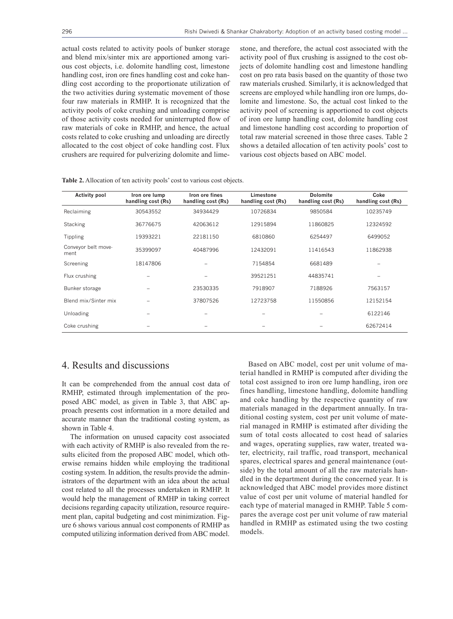actual costs related to activity pools of bunker storage and blend mix/sinter mix are apportioned among various cost objects, i.e. dolomite handling cost, limestone handling cost, iron ore fines handling cost and coke handling cost according to the proportionate utilization of the two activities during systematic movement of those four raw materials in RMHP. It is recognized that the activity pools of coke crushing and unloading comprise of those activity costs needed for uninterrupted flow of raw materials of coke in RMHP, and hence, the actual costs related to coke crushing and unloading are directly allocated to the cost object of coke handling cost. Flux crushers are required for pulverizing dolomite and lime-

stone, and therefore, the actual cost associated with the activity pool of flux crushing is assigned to the cost objects of dolomite handling cost and limestone handling cost on pro rata basis based on the quantity of those two raw materials crushed. Similarly, it is acknowledged that screens are employed while handling iron ore lumps, dolomite and limestone. So, the actual cost linked to the activity pool of screening is apportioned to cost objects of iron ore lump handling cost, dolomite handling cost and limestone handling cost according to proportion of total raw material screened in those three cases. Table 2 shows a detailed allocation of ten activity pools' cost to various cost objects based on ABC model.

| <b>Activity pool</b>        | Iron ore lump<br>handling cost (Rs) | Iron ore fines<br>handling cost (Rs) | Limestone<br>handling cost (Rs) | <b>Dolomite</b><br>handling cost (Rs) | Coke<br>handling cost (Rs) |
|-----------------------------|-------------------------------------|--------------------------------------|---------------------------------|---------------------------------------|----------------------------|
| Reclaiming                  | 30543552                            | 34934429                             | 10726834                        | 9850584                               | 10235749                   |
| Stacking                    | 36776675                            | 42063612                             | 12915894                        | 11860825                              | 12324592                   |
| Tippling                    | 19393221                            | 22181150                             | 6810860                         | 6254497                               | 6499052                    |
| Conveyor belt move-<br>ment | 35399097                            | 40487996                             | 12432091                        | 11416543                              | 11862938                   |
| Screening                   | 18147806                            |                                      | 7154854                         | 6681489                               |                            |
| Flux crushing               |                                     |                                      | 39521251                        | 44835741                              |                            |
| Bunker storage              |                                     | 23530335                             | 7918907                         | 7188926                               | 7563157                    |
| Blend mix/Sinter mix        |                                     | 37807526                             | 12723758                        | 11550856                              | 12152154                   |
| Unloading                   |                                     |                                      |                                 |                                       | 6122146                    |
| Coke crushing               |                                     |                                      |                                 |                                       | 62672414                   |

# 4. Results and discussions

It can be comprehended from the annual cost data of RMHP, estimated through implementation of the proposed ABC model, as given in Table 3, that ABC approach presents cost information in a more detailed and accurate manner than the traditional costing system, as shown in Table 4.

The information on unused capacity cost associated with each activity of RMHP is also revealed from the results elicited from the proposed ABC model, which otherwise remains hidden while employing the traditional costing system. In addition, the results provide the administrators of the department with an idea about the actual cost related to all the processes undertaken in RMHP. It would help the management of RMHP in taking correct decisions regarding capacity utilization, resource requirement plan, capital budgeting and cost minimization. Figure 6 shows various annual cost components of RMHP as computed utilizing information derived from ABC model.

Based on ABC model, cost per unit volume of material handled in RMHP is computed after dividing the total cost assigned to iron ore lump handling, iron ore fines handling, limestone handling, dolomite handling and coke handling by the respective quantity of raw materials managed in the department annually. In traditional costing system, cost per unit volume of material managed in RMHP is estimated after dividing the sum of total costs allocated to cost head of salaries and wages, operating supplies, raw water, treated water, electricity, rail traffic, road transport, mechanical spares, electrical spares and general maintenance (outside) by the total amount of all the raw materials handled in the department during the concerned year. It is acknowledged that ABC model provides more distinct value of cost per unit volume of material handled for each type of material managed in RMHP. Table 5 compares the average cost per unit volume of raw material handled in RMHP as estimated using the two costing models.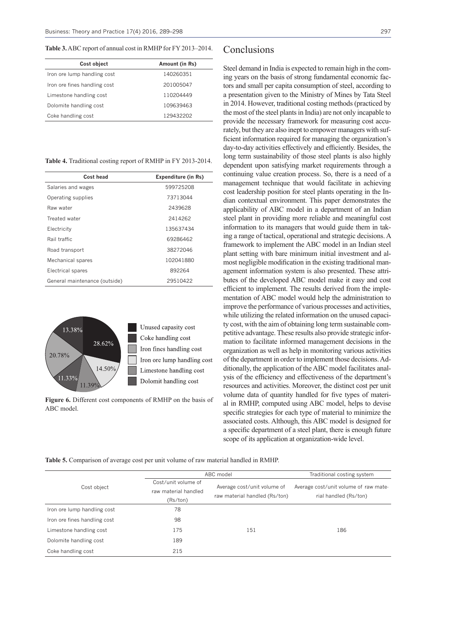**Table 3.** ABC report of annual cost in RMHP for FY 2013–2014.

| Cost object                  | Amount (in Rs) |
|------------------------------|----------------|
| Iron ore lump handling cost  | 140260351      |
| Iron ore fines handling cost | 201005047      |
| Limestone handling cost      | 110204449      |
| Dolomite handling cost       | 109639463      |
| Coke handling cost           | 129432202      |

**Table 4.** Traditional costing report of RMHP in FY 2013-2014.

| Cost head                     | <b>Expenditure (in Rs)</b> |
|-------------------------------|----------------------------|
| Salaries and wages            | 599725208                  |
| Operating supplies            | 73713044                   |
| Raw water                     | 2439628                    |
| Treated water                 | 2414262                    |
| Electricity                   | 135637434                  |
| Rail traffic                  | 69286462                   |
| Road transport                | 38272046                   |
| Mechanical spares             | 102041880                  |
| Electrical spares             | 892264                     |
| General maintenance (outside) | 29510422                   |



Unused capasity cost Coke handling cost Iron fines handling cost Iron ore lump handling cost Limestone handling cost Dolomit handling cost

**Figure 6.** Different cost components of RMHP on the basis of ABC model.

Steel demand in India is expected to remain high in the coming years on the basis of strong fundamental economic factors and small per capita consumption of steel, according to a presentation given to the Ministry of Mines by Tata Steel in 2014. However, traditional costing methods (practiced by the most of the steel plants in India) are not only incapable to provide the necessary framework for measuring cost accurately, but they are also inept to empower managers with sufficient information required for managing the organization's day-to-day activities effectively and efficiently. Besides, the long term sustainability of those steel plants is also highly dependent upon satisfying market requirements through a continuing value creation process. So, there is a need of a management technique that would facilitate in achieving cost leadership position for steel plants operating in the Indian contextual environment. This paper demonstrates the applicability of ABC model in a department of an Indian steel plant in providing more reliable and meaningful cost information to its managers that would guide them in taking a range of tactical, operational and strategic decisions. A framework to implement the ABC model in an Indian steel plant setting with bare minimum initial investment and almost negligible modification in the existing traditional management information system is also presented. These attributes of the developed ABC model make it easy and cost efficient to implement. The results derived from the implementation of ABC model would help the administration to improve the performance of various processes and activities, while utilizing the related information on the unused capacity cost, with the aim of obtaining long term sustainable competitive advantage. These results also provide strategic information to facilitate informed management decisions in the organization as well as help in monitoring various activities of the department in order to implement those decisions. Additionally, the application of the ABC model facilitates analysis of the efficiency and effectiveness of the department's resources and activities. Moreover, the distinct cost per unit volume data of quantity handled for five types of material in RMHP, computed using ABC model, helps to devise specific strategies for each type of material to minimize the associated costs. Although, this ABC model is designed for a specific department of a steel plant, there is enough future scope of its application at organization-wide level.

**Table 5.** Comparison of average cost per unit volume of raw material handled in RMHP.

| Cost object                  | ABC model                                   | Traditional costing system    |                                                                |
|------------------------------|---------------------------------------------|-------------------------------|----------------------------------------------------------------|
|                              | Cost/unit volume of<br>raw material handled | Average cost/unit volume of   | Average cost/unit volume of raw mate-<br>rial handled (Rs/ton) |
|                              | (Rs/ton)                                    | raw material handled (Rs/ton) |                                                                |
| Iron ore lump handling cost  | 78                                          |                               |                                                                |
| Iron ore fines handling cost | 98                                          |                               |                                                                |
| Limestone handling cost      | 175                                         | 151                           | 186                                                            |
| Dolomite handling cost       | 189                                         |                               |                                                                |
| Coke handling cost           | 215                                         |                               |                                                                |